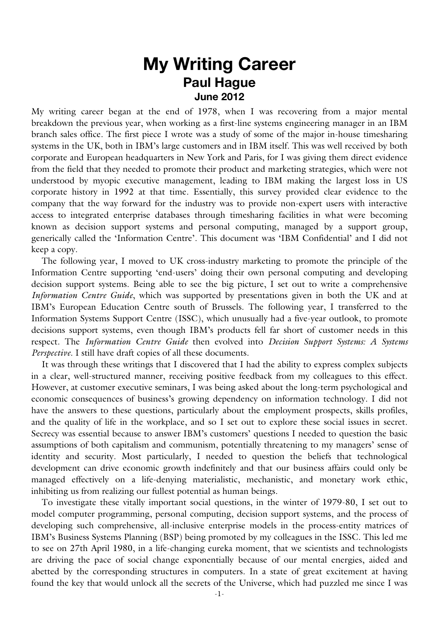# **My Writing Career Paul Hague June 2012**

My writing career began at the end of 1978, when I was recovering from a major mental breakdown the previous year, when working as a first-line systems engineering manager in an IBM branch sales office. The first piece I wrote was a study of some of the major in-house timesharing systems in the UK, both in IBM's large customers and in IBM itself. This was well received by both corporate and European headquarters in New York and Paris, for I was giving them direct evidence from the field that they needed to promote their product and marketing strategies, which were not understood by myopic executive management, leading to IBM making the largest loss in US corporate history in 1992 at that time. Essentially, this survey provided clear evidence to the company that the way forward for the industry was to provide non-expert users with interactive access to integrated enterprise databases through timesharing facilities in what were becoming known as decision support systems and personal computing, managed by a support group, generically called the 'Information Centre'. This document was 'IBM Confidential' and I did not keep a copy.

The following year, I moved to UK cross-industry marketing to promote the principle of the Information Centre supporting 'end-users' doing their own personal computing and developing decision support systems. Being able to see the big picture, I set out to write a comprehensive *Information Centre Guide*, which was supported by presentations given in both the UK and at IBM's European Education Centre south of Brussels. The following year, I transferred to the Information Systems Support Centre (ISSC), which unusually had a five-year outlook, to promote decisions support systems, even though IBM's products fell far short of customer needs in this respect. The *Information Centre Guide* then evolved into *Decision Support Systems: A Systems Perspective*. I still have draft copies of all these documents.

It was through these writings that I discovered that I had the ability to express complex subjects in a clear, well-structured manner, receiving positive feedback from my colleagues to this effect. However, at customer executive seminars, I was being asked about the long-term psychological and economic consequences of business's growing dependency on information technology. I did not have the answers to these questions, particularly about the employment prospects, skills profiles, and the quality of life in the workplace, and so I set out to explore these social issues in secret. Secrecy was essential because to answer IBM's customers' questions I needed to question the basic assumptions of both capitalism and communism, potentially threatening to my managers' sense of identity and security. Most particularly, I needed to question the beliefs that technological development can drive economic growth indefinitely and that our business affairs could only be managed effectively on a life-denying materialistic, mechanistic, and monetary work ethic, inhibiting us from realizing our fullest potential as human beings.

To investigate these vitally important social questions, in the winter of 1979-80, I set out to model computer programming, personal computing, decision support systems, and the process of developing such comprehensive, all-inclusive enterprise models in the process-entity matrices of IBM's Business Systems Planning (BSP) being promoted by my colleagues in the ISSC. This led me to see on 27th April 1980, in a life-changing eureka moment, that we scientists and technologists are driving the pace of social change exponentially because of our mental energies, aided and abetted by the corresponding structures in computers. In a state of great excitement at having found the key that would unlock all the secrets of the Universe, which had puzzled me since I was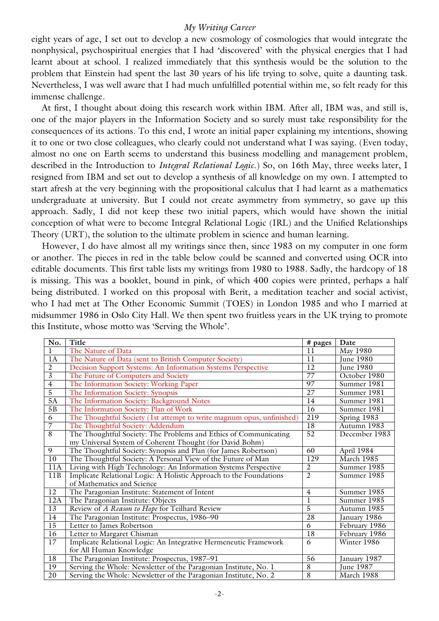eight years of age, I set out to develop a new cosmology of cosmologies that would integrate the nonphysical, psychospiritual energies that I had 'discovered' with the physical energies that I had learnt about at school. I realized immediately that this synthesis would be the solution to the problem that Einstein had spent the last 30 years of his life trying to solve, quite a daunting task. Nevertheless, I was well aware that I had much unfulfilled potential within me, so felt ready for this immense challenge.

At first, I thought about doing this research work within IBM. After all, IBM was, and still is, one of the major players in the Information Society and so surely must take responsibility for the consequences of its actions. To this end, I wrote an initial paper explaining my intentions, showing it to one or two close colleagues, who clearly could not understand what I was saying. (Even today, almost no one on Earth seems to understand this business modelling and management problem, described in the Introduction to *Integral Relational Logic*.) So, on 16th May, three weeks later, I resigned from IBM and set out to develop a synthesis of all knowledge on my own. I attempted to start afresh at the very beginning with the propositional calculus that I had learnt as a mathematics undergraduate at university. But I could not create asymmetry from symmetry, so gave up this approach. Sadly, I did not keep these two initial papers, which would have shown the initial conception of what were to become Integral Relational Logic (IRL) and the Unified Relationships Theory (URT), the solution to the ultimate problem in science and human learning.

However, I do have almost all my writings since then, since 1983 on my computer in one form or another. The pieces in red in the table below could be scanned and converted using OCR into editable documents. This first table lists my writings from 1980 to 1988. Sadly, the hardcopy of 18 is missing. This was a booklet, bound in pink, of which 400 copies were printed, perhaps a half being distributed. I worked on this proposal with Berit, a meditation teacher and social activist, who I had met at The Other Economic Summit (TOES) in London 1985 and who I married at midsummer 1986 in Oslo City Hall. We then spent two fruitless years in the UK trying to promote this Institute, whose motto was 'Serving the Whole'.

| No.             | Title                                                                 | # pages          | Date             |
|-----------------|-----------------------------------------------------------------------|------------------|------------------|
| $\mathbf l$     | The Nature of Data                                                    | 11               | May 1980         |
| 1A              | The Nature of Data (sent to British Computer Society)                 | $\overline{11}$  | June 1980        |
| $\overline{2}$  | Decision Support Systems: An Information Systems Perspective          | $\overline{12}$  | <b>June 1980</b> |
| $\overline{3}$  | The Future of Computers and Society                                   | 77               | October 1980     |
| $\overline{4}$  | The Information Society: Working Paper                                | 97               | Summer 1981      |
| 5               | The Information Society: Synopsis                                     | $\overline{27}$  | Summer 1981      |
| 5A              | The Information Society: Background Notes                             | 14               | Summer 1981      |
| 5B              | The Information Society: Plan of Work                                 | 16               | Summer 1981      |
| 6               | The Thoughtful Society (1st attempt to write magnum opus, unfinished) | 219              | Spring 1983      |
| $\overline{7}$  | The Thoughtful Society: Addendum                                      | 18               | Autumn 1983      |
| 8               | The Thoughtful Society: The Problems and Ethics of Communicating      | $\overline{52}$  | December 1983    |
|                 | my Universal System of Coherent Thought (for David Bohm)              |                  |                  |
| 9               | The Thoughtful Society: Synopsis and Plan (for James Robertson)       | 60               | April 1984       |
| 10              | The Thoughtful Society: A Personal View of the Future of Man          | $\overline{129}$ | March 1985       |
| 11A             | Living with High Technology: An Information Systems Perspective       | $\overline{2}$   | Summer 1985      |
| 11B             | Implicate Relational Logic: A Holistic Approach to the Foundations    | $\overline{2}$   | Summer $1985$    |
|                 | of Mathematics and Science                                            |                  |                  |
| $\overline{12}$ | The Paragonian Institute: Statement of Intent                         | $\overline{4}$   | Summer 1985      |
| 12A             | The Paragonian Institute: Objects                                     | $\mathbf l$      | Summer 1985      |
| 13              | Review of A Reason to Hope for Teilhard Review                        | $\overline{5}$   | Autumn 1985      |
| 14              | The Paragonian Institute: Prospectus, 1986-90                         | 28               | January 1986     |
| 15              | Letter to James Robertson                                             | 6                | February 1986    |
| 16              | Letter to Margaret Chisman                                            | 18               | February 1986    |
| 17              | Implicate Relational Logic: An Integrative Hermeneutic Framework      | 6                | Winter 1986      |
|                 | for All Human Knowledge                                               |                  |                  |
| 18              | The Paragonian Institute: Prospectus, 1987-91                         | 56               | January 1987     |
| 19              | Serving the Whole: Newsletter of the Paragonian Institute, No. 1      | 8                | <b>June 1987</b> |
| $\overline{20}$ | Serving the Whole: Newsletter of the Paragonian Institute, No. 2      | $\overline{8}$   | March 1988       |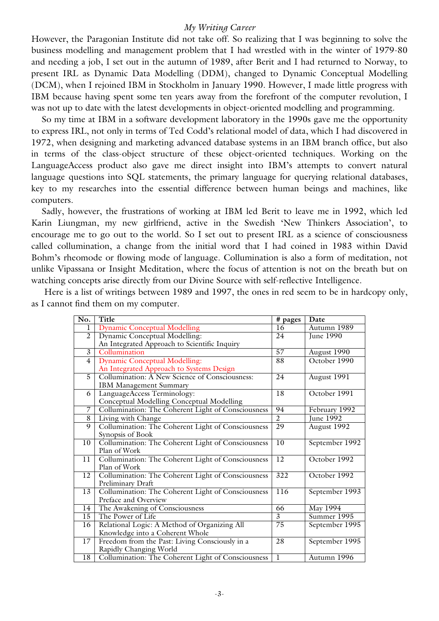However, the Paragonian Institute did not take off. So realizing that I was beginning to solve the business modelling and management problem that I had wrestled with in the winter of 1979-80 and needing a job, I set out in the autumn of 1989, after Berit and I had returned to Norway, to present IRL as Dynamic Data Modelling (DDM), changed to Dynamic Conceptual Modelling (DCM), when I rejoined IBM in Stockholm in January 1990. However, I made little progress with IBM because having spent some ten years away from the forefront of the computer revolution, I was not up to date with the latest developments in object-oriented modelling and programming.

So my time at IBM in a software development laboratory in the 1990s gave me the opportunity to express IRL, not only in terms of Ted Codd's relational model of data, which I had discovered in 1972, when designing and marketing advanced database systems in an IBM branch office, but also in terms of the class-object structure of these object-oriented techniques. Working on the LanguageAccess product also gave me direct insight into IBM's attempts to convert natural language questions into SQL statements, the primary language for querying relational databases, key to my researches into the essential difference between human beings and machines, like computers.

Sadly, however, the frustrations of working at IBM led Berit to leave me in 1992, which led Karin Liungman, my new girlfriend, active in the Swedish 'New Thinkers Association', to encourage me to go out to the world. So I set out to present IRL as a science of consciousness called collumination, a change from the initial word that I had coined in 1983 within David Bohm's rheomode or flowing mode of language. Collumination is also a form of meditation, not unlike Vipassana or Insight Meditation, where the focus of attention is not on the breath but on watching concepts arise directly from our Divine Source with self-reflective Intelligence.

Here is a list of writings between 1989 and 1997, the ones in red seem to be in hardcopy only, as I cannot find them on my computer.

| No.             | Title                                              | # pages          | Date             |
|-----------------|----------------------------------------------------|------------------|------------------|
| 1               | <b>Dynamic Conceptual Modelling</b>                | 16               | Autumn 1989      |
| $\overline{2}$  | Dynamic Conceptual Modelling:                      | 24               | June 1990        |
|                 | An Integrated Approach to Scientific Inquiry       |                  |                  |
| $\overline{3}$  | Collumination                                      | 57               | August 1990      |
| $\overline{4}$  | <b>Dynamic Conceptual Modelling:</b>               | 88               | October 1990     |
|                 | An Integrated Approach to Systems Design           |                  |                  |
| 5               | Collumination: A New Science of Consciousness:     | 24               | August 1991      |
|                 | IBM Management Summary                             |                  |                  |
| 6               | LanguageAccess Terminology:                        | 18               | October 1991     |
|                 | Conceptual Modelling Conceptual Modelling          |                  |                  |
| 7               | Collumination: The Coherent Light of Consciousness | 94               | February 1992    |
| 8               | Living with Change                                 | $\overline{2}$   | <b>June 1992</b> |
| $\overline{9}$  | Collumination: The Coherent Light of Consciousness | $\overline{29}$  | August 1992      |
|                 | Synopsis of Book                                   |                  |                  |
| 10              | Collumination: The Coherent Light of Consciousness | 10               | September 1992   |
|                 | Plan of Work                                       |                  |                  |
| 11              | Collumination: The Coherent Light of Consciousness | $\overline{12}$  | October 1992     |
|                 | Plan of Work                                       |                  |                  |
| $\overline{12}$ | Collumination: The Coherent Light of Consciousness | $\overline{322}$ | October 1992     |
|                 | Preliminary Draft                                  |                  |                  |
| 13              | Collumination: The Coherent Light of Consciousness | 116              | September 1993   |
|                 | Preface and Overview                               |                  |                  |
| 14              | The Awakening of Consciousness                     | 66               | <b>May 1994</b>  |
| 15              | The Power of Life                                  | 3                | Summer 1995      |
| 16              | Relational Logic: A Method of Organizing All       | 75               | September 1995   |
|                 | Knowledge into a Coherent Whole                    |                  |                  |
| 17              | Freedom from the Past: Living Consciously in a     | 28               | September 1995   |
|                 | Rapidly Changing World                             |                  |                  |
| 18              | Collumination: The Coherent Light of Consciousness | $\overline{1}$   | Autumn 1996      |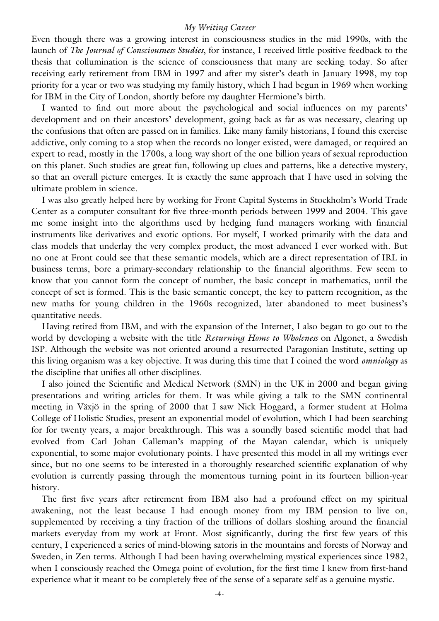Even though there was a growing interest in consciousness studies in the mid 1990s, with the launch of *The Journal of Consciousness Studies*, for instance, I received little positive feedback to the thesis that collumination is the science of consciousness that many are seeking today. So after receiving early retirement from IBM in 1997 and after my sister's death in January 1998, my top priority for a year or two was studying my family history, which I had begun in 1969 when working for IBM in the City of London, shortly before my daughter Hermione's birth.

I wanted to find out more about the psychological and social influences on my parents' development and on their ancestors' development, going back as far as was necessary, clearing up the confusions that often are passed on in families. Like many family historians, I found this exercise addictive, only coming to a stop when the records no longer existed, were damaged, or required an expert to read, mostly in the 1700s, a long way short of the one billion years of sexual reproduction on this planet. Such studies are great fun, following up clues and patterns, like a detective mystery, so that an overall picture emerges. It is exactly the same approach that I have used in solving the ultimate problem in science.

I was also greatly helped here by working for Front Capital Systems in Stockholm's World Trade Center as a computer consultant for five three-month periods between 1999 and 2004. This gave me some insight into the algorithms used by hedging fund managers working with financial instruments like derivatives and exotic options. For myself, I worked primarily with the data and class models that underlay the very complex product, the most advanced I ever worked with. But no one at Front could see that these semantic models, which are a direct representation of IRL in business terms, bore a primary-secondary relationship to the financial algorithms. Few seem to know that you cannot form the concept of number, the basic concept in mathematics, until the concept of set is formed. This is the basic semantic concept, the key to pattern recognition, as the new maths for young children in the 1960s recognized, later abandoned to meet business's quantitative needs.

Having retired from IBM, and with the expansion of the Internet, I also began to go out to the world by developing a website with the title *Returning Home to Wholeness* on Algonet, a Swedish ISP. Although the website was not oriented around a resurrected Paragonian Institute, setting up this living organism was a key objective. It was during this time that I coined the word *omniology* as the discipline that unifies all other disciplines.

I also joined the Scientific and Medical Network (SMN) in the UK in 2000 and began giving presentations and writing articles for them. It was while giving a talk to the SMN continental meeting in Växjö in the spring of 2000 that I saw Nick Hoggard, a former student at Holma College of Holistic Studies, present an exponential model of evolution, which I had been searching for for twenty years, a major breakthrough. This was a soundly based scientific model that had evolved from Carl Johan Calleman's mapping of the Mayan calendar, which is uniquely exponential, to some major evolutionary points. I have presented this model in all my writings ever since, but no one seems to be interested in a thoroughly researched scientific explanation of why evolution is currently passing through the momentous turning point in its fourteen billion-year history.

The first five years after retirement from IBM also had a profound effect on my spiritual awakening, not the least because I had enough money from my IBM pension to live on, supplemented by receiving a tiny fraction of the trillions of dollars sloshing around the financial markets everyday from my work at Front. Most significantly, during the first few years of this century, I experienced a series of mind-blowing satoris in the mountains and forests of Norway and Sweden, in Zen terms. Although I had been having overwhelming mystical experiences since 1982, when I consciously reached the Omega point of evolution, for the first time I knew from first-hand experience what it meant to be completely free of the sense of a separate self as a genuine mystic.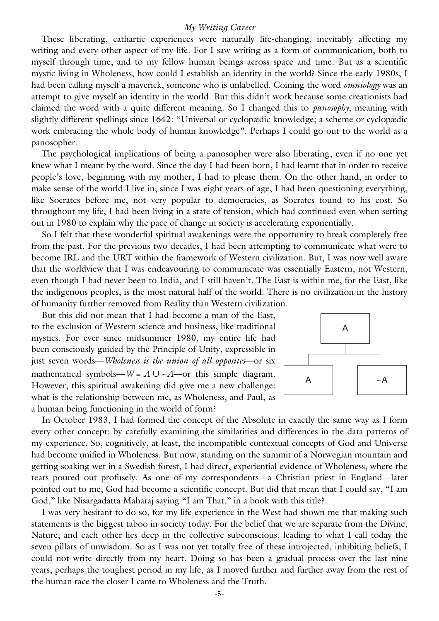These liberating, cathartic experiences were naturally life-changing, inevitably affecting my writing and every other aspect of my life. For I saw writing as a form of communication, both to myself through time, and to my fellow human beings across space and time. But as a scientific mystic living in Wholeness, how could I establish an identity in the world? Since the early 1980s, I had been calling myself a maverick, someone who is unlabelled. Coining the word *omniology* was an attempt to give myself an identity in the world. But this didn't work because some creationists had claimed the word with a quite different meaning. So I changed this to *panosophy*, meaning with slightly different spellings since 1642: "Universal or cyclopædic knowledge; a scheme or cyclopædic work embracing the whole body of human knowledge". Perhaps I could go out to the world as a panosopher.

The psychological implications of being a panosopher were also liberating, even if no one yet knew what I meant by the word. Since the day I had been born, I had learnt that in order to receive people's love, beginning with my mother, I had to please them. On the other hand, in order to make sense of the world I live in, since I was eight years of age, I had been questioning everything, like Socrates before me, not very popular to democracies, as Socrates found to his cost. So throughout my life, I had been living in a state of tension, which had continued even when setting out in 1980 to explain why the pace of change in society is accelerating exponentially.

So I felt that these wonderful spiritual awakenings were the opportunity to break completely free from the past. For the previous two decades, I had been attempting to communicate what were to become IRL and the URT within the framework of Western civilization. But, I was now well aware that the worldview that I was endeavouring to communicate was essentially Eastern, not Western, even though I had never been to India, and I still haven't. The East is within me, for the East, like the indigenous peoples, is the most natural half of the world. There is no civilization in the history of humanity further removed from Reality than Western civilization.

But this did not mean that I had become a man of the East, to the exclusion of Western science and business, like traditional mystics. For ever since midsummer 1980, my entire life had been consciously guided by the Principle of Unity, expressible in just seven words—*Wholeness is the union of all opposites*—or six mathematical symbols—*W* =  $A \cup \sim A$ —or this simple diagram. However, this spiritual awakening did give me a new challenge: what is the relationship between me, as Wholeness, and Paul, as a human being functioning in the world of form?



In October 1983, I had formed the concept of the Absolute in exactly the same way as I form every other concept: by carefully examining the similarities and differences in the data patterns of my experience. So, cognitively, at least, the incompatible contextual concepts of God and Universe had become unified in Wholeness. But now, standing on the summit of a Norwegian mountain and getting soaking wet in a Swedish forest, I had direct, experiential evidence of Wholeness, where the tears poured out profusely. As one of my correspondents—a Christian priest in England—later pointed out to me, God had become a scientific concept. But did that mean that I could say, "I am God," like Nisargadatta Maharaj saying "I am That," in a book with this title?

I was very hesitant to do so, for my life experience in the West had shown me that making such statements is the biggest taboo in society today. For the belief that we are separate from the Divine, Nature, and each other lies deep in the collective subconscious, leading to what I call today the seven pillars of unwisdom. So as I was not yet totally free of these introjected, inhibiting beliefs, I could not write directly from my heart. Doing so has been a gradual process over the last nine years, perhaps the toughest period in my life, as I moved further and further away from the rest of the human race the closer I came to Wholeness and the Truth.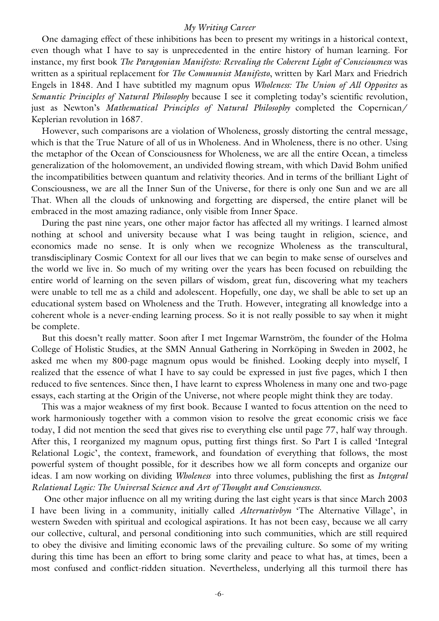One damaging effect of these inhibitions has been to present my writings in a historical context, even though what I have to say is unprecedented in the entire history of human learning. For instance, my first book *The Paragonian Manifesto: Revealing the Coherent Light of Consciousness* was written as a spiritual replacement for *The Communist Manifesto*, written by Karl Marx and Friedrich Engels in 1848. And I have subtitled my magnum opus *Wholeness: The Union of All Opposites* as *Semantic Principles of Natural Philosophy* because I see it completing today's scientific revolution, just as Newton's *Mathematical Principles of Natural Philosophy* completed the Copernican/ Keplerian revolution in 1687.

However, such comparisons are a violation of Wholeness, grossly distorting the central message, which is that the True Nature of all of us in Wholeness. And in Wholeness, there is no other. Using the metaphor of the Ocean of Consciousness for Wholeness, we are all the entire Ocean, a timeless generalization of the holomovement, an undivided flowing stream, with which David Bohm unified the incompatibilities between quantum and relativity theories. And in terms of the brilliant Light of Consciousness, we are all the Inner Sun of the Universe, for there is only one Sun and we are all That. When all the clouds of unknowing and forgetting are dispersed, the entire planet will be embraced in the most amazing radiance, only visible from Inner Space.

During the past nine years, one other major factor has affected all my writings. I learned almost nothing at school and university because what I was being taught in religion, science, and economics made no sense. It is only when we recognize Wholeness as the transcultural, transdisciplinary Cosmic Context for all our lives that we can begin to make sense of ourselves and the world we live in. So much of my writing over the years has been focused on rebuilding the entire world of learning on the seven pillars of wisdom, great fun, discovering what my teachers were unable to tell me as a child and adolescent. Hopefully, one day, we shall be able to set up an educational system based on Wholeness and the Truth. However, integrating all knowledge into a coherent whole is a never-ending learning process. So it is not really possible to say when it might be complete.

But this doesn't really matter. Soon after I met Ingemar Warnström, the founder of the Holma College of Holistic Studies, at the SMN Annual Gathering in Norrköping in Sweden in 2002, he asked me when my 800-page magnum opus would be finished. Looking deeply into myself, I realized that the essence of what I have to say could be expressed in just five pages, which I then reduced to five sentences. Since then, I have learnt to express Wholeness in many one and two-page essays, each starting at the Origin of the Universe, not where people might think they are today.

This was a major weakness of my first book. Because I wanted to focus attention on the need to work harmoniously together with a common vision to resolve the great economic crisis we face today, I did not mention the seed that gives rise to everything else until page 77, half way through. After this, I reorganized my magnum opus, putting first things first. So Part I is called 'Integral Relational Logic', the context, framework, and foundation of everything that follows, the most powerful system of thought possible, for it describes how we all form concepts and organize our ideas. I am now working on dividing *Wholeness* into three volumes, publishing the first as *Integral Relational Logic: The Universal Science and Art of Thought and Consciousness*.

One other major influence on all my writing during the last eight years is that since March 2003 I have been living in a community, initially called *Alternativbyn* 'The Alternative Village', in western Sweden with spiritual and ecological aspirations. It has not been easy, because we all carry our collective, cultural, and personal conditioning into such communities, which are still required to obey the divisive and limiting economic laws of the prevailing culture. So some of my writing during this time has been an effort to bring some clarity and peace to what has, at times, been a most confused and conflict-ridden situation. Nevertheless, underlying all this turmoil there has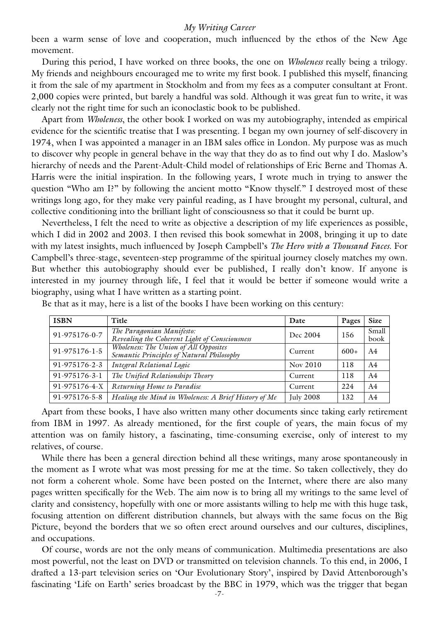been a warm sense of love and cooperation, much influenced by the ethos of the New Age movement.

During this period, I have worked on three books, the one on *Wholeness* really being a trilogy. My friends and neighbours encouraged me to write my first book. I published this myself, financing it from the sale of my apartment in Stockholm and from my fees as a computer consultant at Front. 2,000 copies were printed, but barely a handful was sold. Although it was great fun to write, it was clearly not the right time for such an iconoclastic book to be published.

Apart from *Wholeness*, the other book I worked on was my autobiography, intended as empirical evidence for the scientific treatise that I was presenting. I began my own journey of self-discovery in 1974, when I was appointed a manager in an IBM sales office in London. My purpose was as much to discover why people in general behave in the way that they do as to find out why I do. Maslow's hierarchy of needs and the Parent-Adult-Child model of relationships of Eric Berne and Thomas A. Harris were the initial inspiration. In the following years, I wrote much in trying to answer the question "Who am I?" by following the ancient motto "Know thyself." I destroyed most of these writings long ago, for they make very painful reading, as I have brought my personal, cultural, and collective conditioning into the brilliant light of consciousness so that it could be burnt up.

Nevertheless, I felt the need to write as objective a description of my life experiences as possible, which I did in 2002 and 2003. I then revised this book somewhat in 2008, bringing it up to date with my latest insights, much influenced by Joseph Campbell's *The Hero with a Thousand Faces*. For Campbell's three-stage, seventeen-step programme of the spiritual journey closely matches my own. But whether this autobiography should ever be published, I really don't know. If anyone is interested in my journey through life, I feel that it would be better if someone would write a biography, using what I have written as a starting point.

| <b>ISBN</b>   | Title                                                                              | Date             | Pages      | <b>Size</b>    |
|---------------|------------------------------------------------------------------------------------|------------------|------------|----------------|
| 91-975176-0-7 | The Paragonian Manifesto:<br>Revealing the Coherent Light of Consciousness         | Dec 2004         | 156        | Small<br>book  |
| 91-975176-1-5 | Wholeness: The Union of All Opposites<br>Semantic Principles of Natural Philosophy | Current          | $600+$     | A <sub>4</sub> |
| 91-975176-2-3 | Integral Relational Logic                                                          | Nov 2010         | <b>118</b> | A4             |
| 91-975176-3-1 | The Unified Relationships Theory                                                   | Current          | 118        | A4             |
| 91-975176-4-X | Returning Home to Paradise                                                         | Current          | 224        | A4             |
| 91-975176-5-8 | Healing the Mind in Wholeness: A Brief History of Me                               | <b>July 2008</b> | 132        | A4             |

Be that as it may, here is a list of the books I have been working on this century:

Apart from these books, I have also written many other documents since taking early retirement from IBM in 1997. As already mentioned, for the first couple of years, the main focus of my attention was on family history, a fascinating, time-consuming exercise, only of interest to my relatives, of course.

While there has been a general direction behind all these writings, many arose spontaneously in the moment as I wrote what was most pressing for me at the time. So taken collectively, they do not form a coherent whole. Some have been posted on the Internet, where there are also many pages written specifically for the Web. The aim now is to bring all my writings to the same level of clarity and consistency, hopefully with one or more assistants willing to help me with this huge task, focusing attention on different distribution channels, but always with the same focus on the Big Picture, beyond the borders that we so often erect around ourselves and our cultures, disciplines, and occupations.

Of course, words are not the only means of communication. Multimedia presentations are also most powerful, not the least on DVD or transmitted on television channels. To this end, in 2006, I drafted a 13-part television series on 'Our Evolutionary Story', inspired by David Attenborough's fascinating 'Life on Earth' series broadcast by the BBC in 1979, which was the trigger that began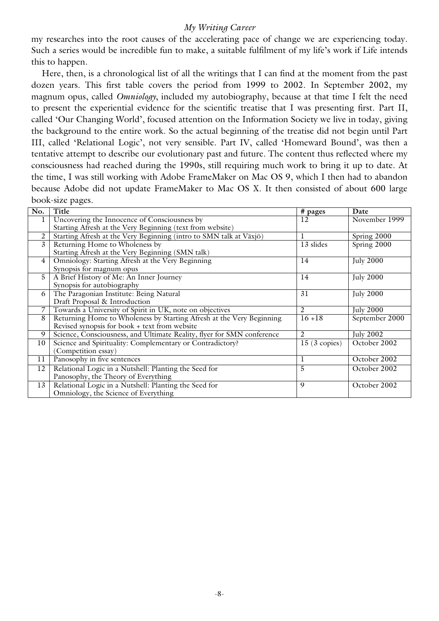my researches into the root causes of the accelerating pace of change we are experiencing today. Such a series would be incredible fun to make, a suitable fulfilment of my life's work if Life intends this to happen.

Here, then, is a chronological list of all the writings that I can find at the moment from the past dozen years. This first table covers the period from 1999 to 2002. In September 2002, my magnum opus, called *Omniology*, included my autobiography, because at that time I felt the need to present the experiential evidence for the scientific treatise that I was presenting first. Part II, called 'Our Changing World', focused attention on the Information Society we live in today, giving the background to the entire work. So the actual beginning of the treatise did not begin until Part III, called 'Relational Logic', not very sensible. Part IV, called 'Homeward Bound', was then a tentative attempt to describe our evolutionary past and future. The content thus reflected where my consciousness had reached during the 1990s, still requiring much work to bring it up to date. At the time, I was still working with Adobe FrameMaker on Mac OS 9, which I then had to abandon because Adobe did not update FrameMaker to Mac OS X. It then consisted of about 600 large book-size pages.

| No.            | Title                                                                  | # pages        | Date             |
|----------------|------------------------------------------------------------------------|----------------|------------------|
| 1              | Uncovering the Innocence of Consciousness by                           | 12             | November 1999    |
|                | Starting Afresh at the Very Beginning (text from website)              |                |                  |
| 2              | Starting Afresh at the Very Beginning (intro to SMN talk at Växjö)     |                | Spring 2000      |
| 3              | Returning Home to Wholeness by                                         | 13 slides      | Spring 2000      |
|                | Starting Afresh at the Very Beginning (SMN talk)                       |                |                  |
| $\overline{4}$ | Omniology: Starting Afresh at the Very Beginning                       | 14             | <b>July 2000</b> |
|                | Synopsis for magnum opus                                               |                |                  |
| 5              | A Brief History of Me: An Inner Journey                                | 14             | <b>July 2000</b> |
|                | Synopsis for autobiography                                             |                |                  |
| 6              | The Paragonian Institute: Being Natural                                | 31             | <b>July 2000</b> |
|                | Draft Proposal & Introduction                                          |                |                  |
| $\overline{7}$ | Towards a University of Spirit in UK, note on objectives               | 2              | <b>July 2000</b> |
| 8              | Returning Home to Wholeness by Starting Afresh at the Very Beginning   | $16 + 18$      | September 2000   |
|                | Revised synopsis for book + text from website                          |                |                  |
| 9              | Science, Consciousness, and Ultimate Reality, flyer for SMN conference | $\overline{2}$ | July $2002$      |
| 10             | Science and Spirituality: Complementary or Contradictory?              | $15(3$ copies) | October 2002     |
|                | (Competition essay)                                                    |                |                  |
| 11             | Panosophy in five sentences                                            |                | October 2002     |
| 12             | Relational Logic in a Nutshell: Planting the Seed for                  | 5              | October 2002     |
|                | Panosophy, the Theory of Everything                                    |                |                  |
| 13             | Relational Logic in a Nutshell: Planting the Seed for                  | 9              | October 2002     |
|                | Omniology, the Science of Everything                                   |                |                  |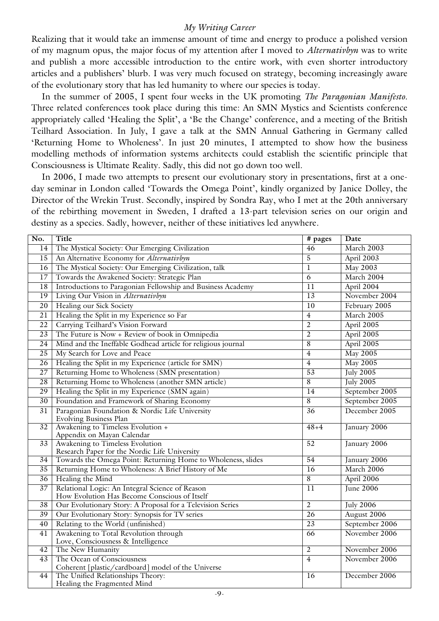Realizing that it would take an immense amount of time and energy to produce a polished version of my magnum opus, the major focus of my attention after I moved to *Alternativbyn* was to write and publish a more accessible introduction to the entire work, with even shorter introductory articles and a publishers' blurb. I was very much focused on strategy, becoming increasingly aware of the evolutionary story that has led humanity to where our species is today.

In the summer of 2005, I spent four weeks in the UK promoting *The Paragonian Manifesto*. Three related conferences took place during this time: An SMN Mystics and Scientists conference appropriately called 'Healing the Split', a 'Be the Change' conference, and a meeting of the British Teilhard Association. In July, I gave a talk at the SMN Annual Gathering in Germany called 'Returning Home to Wholeness'. In just 20 minutes, I attempted to show how the business modelling methods of information systems architects could establish the scientific principle that Consciousness is Ultimate Reality. Sadly, this did not go down too well.

In 2006, I made two attempts to present our evolutionary story in presentations, first at a oneday seminar in London called 'Towards the Omega Point', kindly organized by Janice Dolley, the Director of the Wrekin Trust. Secondly, inspired by Sondra Ray, who I met at the 20th anniversary of the rebirthing movement in Sweden, I drafted a 13-part television series on our origin and destiny as a species. Sadly, however, neither of these initiatives led anywhere.

| No.             | Title                                                         | $\sqrt{\frac{4}{1}}$ pages | Date                           |
|-----------------|---------------------------------------------------------------|----------------------------|--------------------------------|
| 14              | The Mystical Society: Our Emerging Civilization               | 46                         | March 2003                     |
| 15              | An Alternative Economy for Alternativbyn                      | 5                          | April 2003                     |
| 16              | The Mystical Society: Our Emerging Civilization, talk         | $\mathbf{1}$               | <b>May 2003</b>                |
| 17              | Towards the Awakened Society: Strategic Plan                  | 6                          | March 2004                     |
| 18              | Introductions to Paragonian Fellowship and Business Academy   | 11                         | April 2004                     |
| 19              | Living Our Vision in Alternativbyn                            | 13                         | November 2004                  |
| $\overline{20}$ | <b>Healing our Sick Society</b>                               | 10                         | February 2005                  |
| 21              | Healing the Split in my Experience so Far                     | $\overline{4}$             | March 2005                     |
| 22              | Carrying Teilhard's Vision Forward                            | $\overline{2}$             | April 2005                     |
| 23              | The Future is Now + Review of book in Omnipedia               | $\overline{2}$             | April 2005                     |
| 24              | Mind and the Ineffable Godhead article for religious journal  | $\overline{8}$             | April 2005                     |
| 25              | My Search for Love and Peace                                  | $\overline{4}$             | <b>May 2005</b>                |
| 26              | Healing the Split in my Experience (article for SMN)          | $\overline{4}$             | <b>May 2005</b>                |
| $\overline{27}$ | Returning Home to Wholeness (SMN presentation)                | 53                         | <b>July 2005</b>               |
| 28              | Returning Home to Wholeness (another SMN article)             | $\overline{8}$             | <b>July 2005</b>               |
| $\overline{29}$ | Healing the Split in my Experience (SMN again)                | 14                         | September 2005                 |
| 30              | Foundation and Framework of Sharing Economy                   | $\overline{8}$             | September 2005                 |
| 31              | Paragonian Foundation & Nordic Life University                | 36                         | December 2005                  |
|                 | <b>Evolving Business Plan</b>                                 |                            |                                |
| 32              | Awakening to Timeless Evolution +                             | $48 + 4$                   | January 2006                   |
| $\overline{33}$ | Appendix on Mayan Calendar<br>Awakening to Timeless Evolution | 52                         | January 2006                   |
|                 | Research Paper for the Nordic Life University                 |                            |                                |
| 34              | Towards the Omega Point: Returning Home to Wholeness, slides  | 54                         | January 2006                   |
| 35              | Returning Home to Wholeness: A Brief History of Me            | $\overline{16}$            | March 2006                     |
| $\overline{36}$ | Healing the Mind                                              | $\overline{8}$             | April 2006                     |
| $\overline{37}$ | Relational Logic: An Integral Science of Reason               | $\overline{11}$            | <b>June 2006</b>               |
|                 | How Evolution Has Become Conscious of Itself                  |                            |                                |
| 38              | Our Evolutionary Story: A Proposal for a Television Series    | $\overline{2}$             | <b>July 2006</b>               |
| 39              | Our Evolutionary Story: Synopsis for TV series                | $\overline{26}$            | August 2006                    |
| $\overline{40}$ | Relating to the World (unfinished)                            | 23                         | September 2006                 |
| 41              | Awakening to Total Revolution through                         | 66                         | November 2006                  |
|                 | Love, Consciousness & Intelligence                            | $\overline{2}$             |                                |
| 42<br>43        | The New Humanity<br>The Ocean of Consciousness                | $\overline{4}$             | November 2006<br>November 2006 |
|                 | Coherent [plastic/cardboard] model of the Universe            |                            |                                |
| 44              | The Unified Relationships Theory:                             | 16                         | December 2006                  |
|                 | Healing the Fragmented Mind                                   |                            |                                |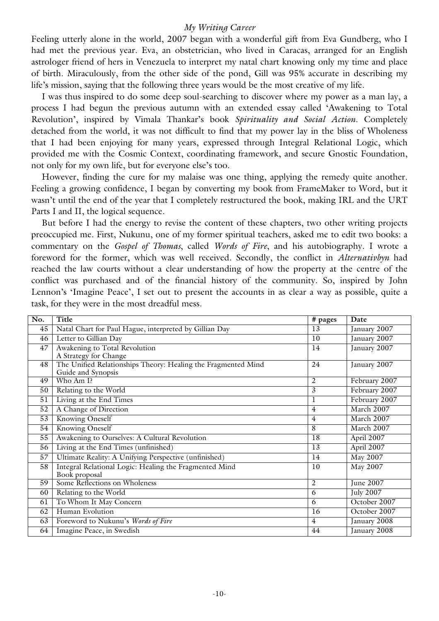Feeling utterly alone in the world, 2007 began with a wonderful gift from Eva Gundberg, who I had met the previous year. Eva, an obstetrician, who lived in Caracas, arranged for an English astrologer friend of hers in Venezuela to interpret my natal chart knowing only my time and place of birth. Miraculously, from the other side of the pond, Gill was 95% accurate in describing my life's mission, saying that the following three years would be the most creative of my life.

I was thus inspired to do some deep soul-searching to discover where my power as a man lay, a process I had begun the previous autumn with an extended essay called 'Awakening to Total Revolution', inspired by Vimala Thankar's book *Spirituality and Social Action*. Completely detached from the world, it was not difficult to find that my power lay in the bliss of Wholeness that I had been enjoying for many years, expressed through Integral Relational Logic, which provided me with the Cosmic Context, coordinating framework, and secure Gnostic Foundation, not only for my own life, but for everyone else's too.

However, finding the cure for my malaise was one thing, applying the remedy quite another. Feeling a growing confidence, I began by converting my book from FrameMaker to Word, but it wasn't until the end of the year that I completely restructured the book, making IRL and the URT Parts I and II, the logical sequence.

But before I had the energy to revise the content of these chapters, two other writing projects preoccupied me. First, Nukunu, one of my former spiritual teachers, asked me to edit two books: a commentary on the *Gospel of Thomas*, called *Words of Fire*, and his autobiography. I wrote a foreword for the former, which was well received. Secondly, the conflict in *Alternativbyn* had reached the law courts without a clear understanding of how the property at the centre of the conflict was purchased and of the financial history of the community. So, inspired by John Lennon's 'Imagine Peace', I set out to present the accounts in as clear a way as possible, quite a task, for they were in the most dreadful mess.

| No.             | Title                                                                               | # pages        | Date             |
|-----------------|-------------------------------------------------------------------------------------|----------------|------------------|
| 45              | Natal Chart for Paul Hague, interpreted by Gillian Day                              | 13             | January 2007     |
| 46              | Letter to Gillian Day                                                               | 10             | January 2007     |
| 47              | Awakening to Total Revolution                                                       | 14             | January 2007     |
|                 | A Strategy for Change                                                               |                |                  |
| 48              | The Unified Relationships Theory: Healing the Fragmented Mind<br>Guide and Synopsis | 24             | January 2007     |
| 49              | Who Am I?                                                                           | $\overline{2}$ | February 2007    |
| 50              | Relating to the World                                                               | 3              | February 2007    |
| $\overline{51}$ | Living at the End Times                                                             | 1              | February 2007    |
| 52              | A Change of Direction                                                               | $\overline{4}$ | March 2007       |
| 53              | <b>Knowing Oneself</b>                                                              | $\overline{4}$ | March 2007       |
| 54              | <b>Knowing Oneself</b>                                                              | 8              | March 2007       |
| $\overline{55}$ | Awakening to Ourselves: A Cultural Revolution                                       | 18             | April 2007       |
| 56              | Living at the End Times (unfinished)                                                | 13             | April 2007       |
| 57              | Ultimate Reality: A Unifying Perspective (unfinished)                               | 14             | <b>May 2007</b>  |
| 58              | Integral Relational Logic: Healing the Fragmented Mind<br>Book proposal             | 10             | May 2007         |
| $\overline{59}$ | Some Reflections on Wholeness                                                       | $\overline{2}$ | June 2007        |
| 60              | Relating to the World                                                               | 6              | <b>July 2007</b> |
| 61              | To Whom It May Concern                                                              | 6              | October 2007     |
| 62              | Human Evolution                                                                     | 16             | October 2007     |
| 63              | Foreword to Nukunu's Words of Fire                                                  | 4              | January 2008     |
| 64              | Imagine Peace, in Swedish                                                           | 44             | January 2008     |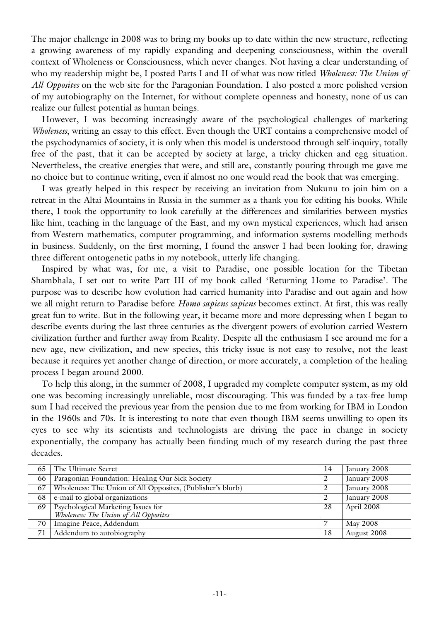The major challenge in 2008 was to bring my books up to date within the new structure, reflecting a growing awareness of my rapidly expanding and deepening consciousness, within the overall context of Wholeness or Consciousness, which never changes. Not having a clear understanding of who my readership might be, I posted Parts I and II of what was now titled *Wholeness: The Union of All Opposites* on the web site for the Paragonian Foundation. I also posted a more polished version of my autobiography on the Internet, for without complete openness and honesty, none of us can realize our fullest potential as human beings.

However, I was becoming increasingly aware of the psychological challenges of marketing *Wholeness*, writing an essay to this effect. Even though the URT contains a comprehensive model of the psychodynamics of society, it is only when this model is understood through self-inquiry, totally free of the past, that it can be accepted by society at large, a tricky chicken and egg situation. Nevertheless, the creative energies that were, and still are, constantly pouring through me gave me no choice but to continue writing, even if almost no one would read the book that was emerging.

I was greatly helped in this respect by receiving an invitation from Nukunu to join him on a retreat in the Altai Mountains in Russia in the summer as a thank you for editing his books. While there, I took the opportunity to look carefully at the differences and similarities between mystics like him, teaching in the language of the East, and my own mystical experiences, which had arisen from Western mathematics, computer programming, and information systems modelling methods in business. Suddenly, on the first morning, I found the answer I had been looking for, drawing three different ontogenetic paths in my notebook, utterly life changing.

Inspired by what was, for me, a visit to Paradise, one possible location for the Tibetan Shambhala, I set out to write Part III of my book called 'Returning Home to Paradise'. The purpose was to describe how evolution had carried humanity into Paradise and out again and how we all might return to Paradise before *Homo sapiens sapiens* becomes extinct. At first, this was really great fun to write. But in the following year, it became more and more depressing when I began to describe events during the last three centuries as the divergent powers of evolution carried Western civilization further and further away from Reality. Despite all the enthusiasm I see around me for a new age, new civilization, and new species, this tricky issue is not easy to resolve, not the least because it requires yet another change of direction, or more accurately, a completion of the healing process I began around 2000.

To help this along, in the summer of 2008, I upgraded my complete computer system, as my old one was becoming increasingly unreliable, most discouraging. This was funded by a tax-free lump sum I had received the previous year from the pension due to me from working for IBM in London in the 1960s and 70s. It is interesting to note that even though IBM seems unwilling to open its eyes to see why its scientists and technologists are driving the pace in change in society exponentially, the company has actually been funding much of my research during the past three decades.

| 65 | The Ultimate Secret                                                         | 14 | January 2008    |
|----|-----------------------------------------------------------------------------|----|-----------------|
| 66 | Paragonian Foundation: Healing Our Sick Society                             |    | January 2008    |
| 67 | Wholeness: The Union of All Opposites, (Publisher's blurb)                  |    | January 2008    |
| 68 | e-mail to global organizations                                              |    | January 2008    |
| 69 | Psychological Marketing Issues for<br>Wholeness: The Union of All Opposites | 28 | April 2008      |
| 70 | Imagine Peace, Addendum                                                     |    | <b>May 2008</b> |
| 71 | Addendum to autobiography                                                   | 18 | August 2008     |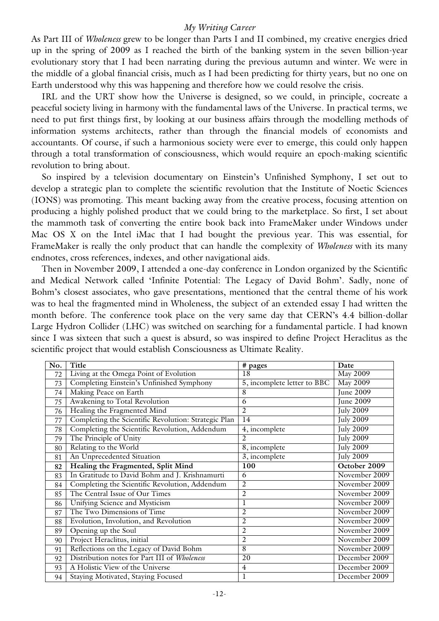As Part III of *Wholeness* grew to be longer than Parts I and II combined, my creative energies dried up in the spring of 2009 as I reached the birth of the banking system in the seven billion-year evolutionary story that I had been narrating during the previous autumn and winter. We were in the middle of a global financial crisis, much as I had been predicting for thirty years, but no one on Earth understood why this was happening and therefore how we could resolve the crisis.

IRL and the URT show how the Universe is designed, so we could, in principle, cocreate a peaceful society living in harmony with the fundamental laws of the Universe. In practical terms, we need to put first things first, by looking at our business affairs through the modelling methods of information systems architects, rather than through the financial models of economists and accountants. Of course, if such a harmonious society were ever to emerge, this could only happen through a total transformation of consciousness, which would require an epoch-making scientific revolution to bring about.

So inspired by a television documentary on Einstein's Unfinished Symphony, I set out to develop a strategic plan to complete the scientific revolution that the Institute of Noetic Sciences (IONS) was promoting. This meant backing away from the creative process, focusing attention on producing a highly polished product that we could bring to the marketplace. So first, I set about the mammoth task of converting the entire book back into FrameMaker under Windows under Mac OS X on the Intel iMac that I had bought the previous year. This was essential, for FrameMaker is really the only product that can handle the complexity of *Wholeness* with its many endnotes, cross references, indexes, and other navigational aids.

Then in November 2009, I attended a one-day conference in London organized by the Scientific and Medical Network called 'Infinite Potential: The Legacy of David Bohm'. Sadly, none of Bohm's closest associates, who gave presentations, mentioned that the central theme of his work was to heal the fragmented mind in Wholeness, the subject of an extended essay I had written the month before. The conference took place on the very same day that CERN's 4.4 billion-dollar Large Hydron Collider (LHC) was switched on searching for a fundamental particle. I had known since I was sixteen that such a quest is absurd, so was inspired to define Project Heraclitus as the scientific project that would establish Consciousness as Ultimate Reality.

| No. | Title                                                | # pages                     | Date             |
|-----|------------------------------------------------------|-----------------------------|------------------|
| 72  | Living at the Omega Point of Evolution               | 18                          | May 2009         |
| 73  | Completing Einstein's Unfinished Symphony            | 5, incomplete letter to BBC | <b>May 2009</b>  |
| 74  | Making Peace on Earth                                | 8                           | <b>June 2009</b> |
| 75  | Awakening to Total Revolution                        | 6                           | <b>June 2009</b> |
| 76  | Healing the Fragmented Mind                          | $\overline{2}$              | <b>July 2009</b> |
| 77  | Completing the Scientific Revolution: Strategic Plan | 14                          | <b>July 2009</b> |
| 78  | Completing the Scientific Revolution, Addendum       | 4, incomplete               | <b>July 2009</b> |
| 79  | The Principle of Unity                               | $\mathfrak{D}$              | <b>July 2009</b> |
| 80  | Relating to the World                                | 8, incomplete               | <b>July 2009</b> |
| 81  | An Unprecedented Situation                           | $\overline{3}$ , incomplete | <b>July 2009</b> |
| 82  | Healing the Fragmented, Split Mind                   | 100                         | October 2009     |
| 83  | In Gratitude to David Bohm and J. Krishnamurti       | 6                           | November 2009    |
| 84  | Completing the Scientific Revolution, Addendum       | $\overline{2}$              | November 2009    |
| 85  | The Central Issue of Our Times                       | $\overline{2}$              | November 2009    |
| 86  | Unifying Science and Mysticism                       | $\mathbf{l}$                | November 2009    |
| 87  | The Two Dimensions of Time                           | $\overline{2}$              | November 2009    |
| 88  | Evolution, Involution, and Revolution                | $\overline{2}$              | November 2009    |
| 89  | Opening up the Soul                                  | $\overline{2}$              | November 2009    |
| 90  | Project Heraclitus, initial                          | $\overline{2}$              | November 2009    |
| 91  | Reflections on the Legacy of David Bohm              | 8                           | November 2009    |
| 92  | Distribution notes for Part III of Wholeness         | 20                          | December 2009    |
| 93  | A Holistic View of the Universe                      | $\overline{4}$              | December 2009    |
| 94  | Staying Motivated, Staying Focused                   | $\mathbf{1}$                | December 2009    |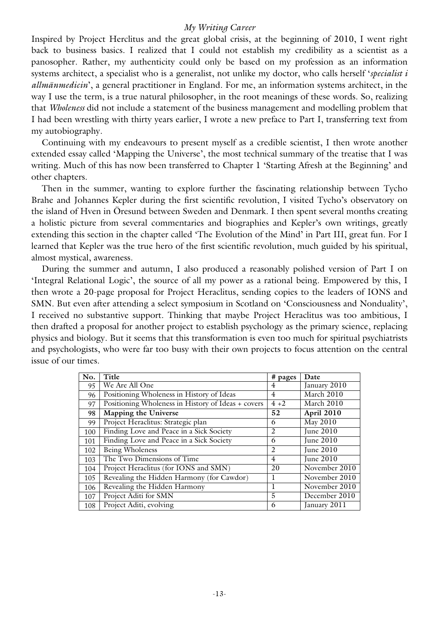Inspired by Project Herclitus and the great global crisis, at the beginning of 2010, I went right back to business basics. I realized that I could not establish my credibility as a scientist as a panosopher. Rather, my authenticity could only be based on my profession as an information systems architect, a specialist who is a generalist, not unlike my doctor, who calls herself '*specialist i allmänmedicin*', a general practitioner in England. For me, an information systems architect, in the way I use the term, is a true natural philosopher, in the root meanings of these words. So, realizing that *Wholeness* did not include a statement of the business management and modelling problem that I had been wrestling with thirty years earlier, I wrote a new preface to Part I, transferring text from my autobiography.

Continuing with my endeavours to present myself as a credible scientist, I then wrote another extended essay called 'Mapping the Universe', the most technical summary of the treatise that I was writing. Much of this has now been transferred to Chapter 1 'Starting Afresh at the Beginning' and other chapters.

Then in the summer, wanting to explore further the fascinating relationship between Tycho Brahe and Johannes Kepler during the first scientific revolution, I visited Tycho's observatory on the island of Hven in Öresund between Sweden and Denmark. I then spent several months creating a holistic picture from several commentaries and biographies and Kepler's own writings, greatly extending this section in the chapter called 'The Evolution of the Mind' in Part III, great fun. For I learned that Kepler was the true hero of the first scientific revolution, much guided by his spiritual, almost mystical, awareness.

During the summer and autumn, I also produced a reasonably polished version of Part I on 'Integral Relational Logic', the source of all my power as a rational being. Empowered by this, I then wrote a 20-page proposal for Project Heraclitus, sending copies to the leaders of IONS and SMN. But even after attending a select symposium in Scotland on 'Consciousness and Nonduality', I received no substantive support. Thinking that maybe Project Heraclitus was too ambitious, I then drafted a proposal for another project to establish psychology as the primary science, replacing physics and biology. But it seems that this transformation is even too much for spiritual psychiatrists and psychologists, who were far too busy with their own projects to focus attention on the central issue of our times.

| No. | Title                                              | # pages        | Date          |
|-----|----------------------------------------------------|----------------|---------------|
| 95  | We Are All One                                     | 4              | January 2010  |
| 96  | Positioning Wholeness in History of Ideas          | $\overline{4}$ | March 2010    |
| 97  | Positioning Wholeness in History of Ideas + covers | $4 + 2$        | March 2010    |
| 98  | <b>Mapping the Universe</b>                        | 52             | April 2010    |
| 99  | Project Heraclitus: Strategic plan                 | 6              | May 2010      |
| 100 | Finding Love and Peace in a Sick Society           | 2              | June 2010     |
| 101 | Finding Love and Peace in a Sick Society           | 6              | June 2010     |
| 102 | Being Wholeness                                    | 2              | June 2010     |
| 103 | The Two Dimensions of Time                         | 4              | June 2010     |
| 104 | Project Heraclitus (for IONS and SMN)              | 20             | November 2010 |
| 105 | Revealing the Hidden Harmony (for Cawdor)          |                | November 2010 |
| 106 | Revealing the Hidden Harmony                       |                | November 2010 |
| 107 | Project Aditi for SMN                              | 5              | December 2010 |
| 108 | Project Aditi, evolving                            | 6              | January 2011  |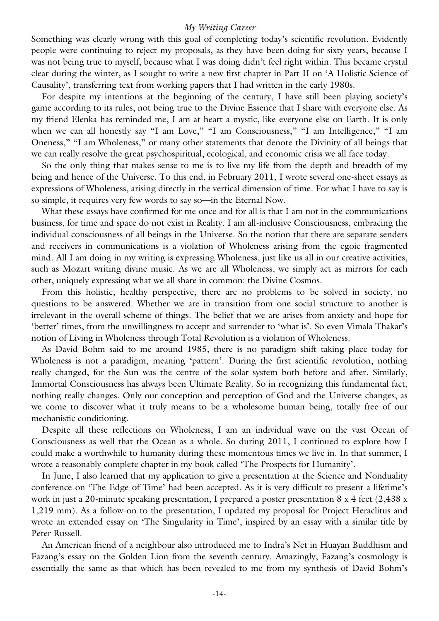Something was clearly wrong with this goal of completing today's scientific revolution. Evidently people were continuing to reject my proposals, as they have been doing for sixty years, because I was not being true to myself, because what I was doing didn't feel right within. This became crystal clear during the winter, as I sought to write a new first chapter in Part II on 'A Holistic Science of Causality', transferring text from working papers that I had written in the early 1980s.

For despite my intentions at the beginning of the century, I have still been playing society's game according to its rules, not being true to the Divine Essence that I share with everyone else. As my friend Elenka has reminded me, I am at heart a mystic, like everyone else on Earth. It is only when we can all honestly say "I am Love," "I am Consciousness," "I am Intelligence," "I am Oneness," "I am Wholeness," or many other statements that denote the Divinity of all beings that we can really resolve the great psychospiritual, ecological, and economic crisis we all face today.

So the only thing that makes sense to me is to live my life from the depth and breadth of my being and hence of the Universe. To this end, in February 2011, I wrote several one-sheet essays as expressions of Wholeness, arising directly in the vertical dimension of time. For what I have to say is so simple, it requires very few words to say so—in the Eternal Now.

What these essays have confirmed for me once and for all is that I am not in the communications business, for time and space do not exist in Reality. I am all-inclusive Consciousness, embracing the individual consciousness of all beings in the Universe. So the notion that there are separate senders and receivers in communications is a violation of Wholeness arising from the egoic fragmented mind. All I am doing in my writing is expressing Wholeness, just like us all in our creative activities, such as Mozart writing divine music. As we are all Wholeness, we simply act as mirrors for each other, uniquely expressing what we all share in common: the Divine Cosmos.

From this holistic, healthy perspective, there are no problems to be solved in society, no questions to be answered. Whether we are in transition from one social structure to another is irrelevant in the overall scheme of things. The belief that we are arises from anxiety and hope for 'better' times, from the unwillingness to accept and surrender to 'what is'. So even Vimala Thakar's notion of Living in Wholeness through Total Revolution is a violation of Wholeness.

As David Bohm said to me around 1985, there is no paradigm shift taking place today for Wholeness is not a paradigm, meaning 'pattern'. During the first scientific revolution, nothing really changed, for the Sun was the centre of the solar system both before and after. Similarly, Immortal Consciousness has always been Ultimate Reality. So in recognizing this fundamental fact, nothing really changes. Only our conception and perception of God and the Universe changes, as we come to discover what it truly means to be a wholesome human being, totally free of our mechanistic conditioning.

Despite all these reflections on Wholeness, I am an individual wave on the vast Ocean of Consciousness as well that the Ocean as a whole. So during 2011, I continued to explore how I could make a worthwhile to humanity during these momentous times we live in. In that summer, I wrote a reasonably complete chapter in my book called 'The Prospects for Humanity'.

In June, I also learned that my application to give a presentation at the Science and Nonduality conference on 'The Edge of Time' had been accepted. As it is very difficult to present a lifetime's work in just a 20-minute speaking presentation, I prepared a poster presentation 8 x 4 feet (2,438 x 1,219 mm). As a follow-on to the presentation, I updated my proposal for Project Heraclitus and wrote an extended essay on 'The Singularity in Time', inspired by an essay with a similar title by Peter Russell.

An American friend of a neighbour also introduced me to Indra's Net in Huayan Buddhism and Fazang's essay on the Golden Lion from the seventh century. Amazingly, Fazang's cosmology is essentially the same as that which has been revealed to me from my synthesis of David Bohm's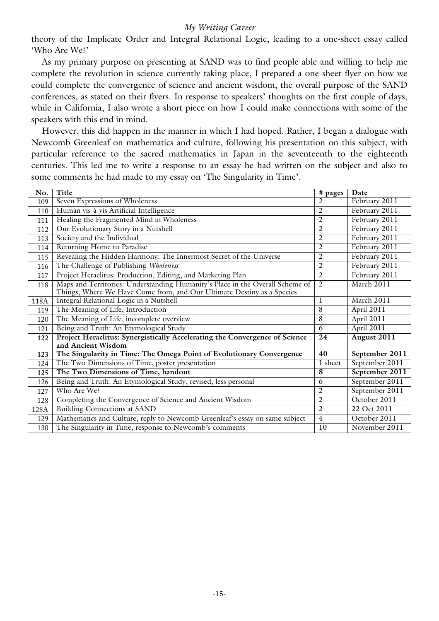theory of the Implicate Order and Integral Relational Logic, leading to a one-sheet essay called 'Who Are We?'

As my primary purpose on presenting at SAND was to find people able and willing to help me complete the revolution in science currently taking place, I prepared a one-sheet flyer on how we could complete the convergence of science and ancient wisdom, the overall purpose of the SAND conferences, as stated on their flyers. In response to speakers' thoughts on the first couple of days, while in California, I also wrote a short piece on how I could make connections with some of the speakers with this end in mind.

However, this did happen in the manner in which I had hoped. Rather, I began a dialogue with Newcomb Greenleaf on mathematics and culture, following his presentation on this subject, with particular reference to the sacred mathematics in Japan in the seventeenth to the eighteenth centuries. This led me to write a response to an essay he had written on the subject and also to some comments he had made to my essay on 'The Singularity in Time'.

| No.  | Title                                                                         | # pages        | Date           |
|------|-------------------------------------------------------------------------------|----------------|----------------|
| 109  | Seven Expressions of Wholeness                                                | $\overline{2}$ | February 2011  |
| 110  | Human vis-à-vis Artificial Intelligence                                       | $\overline{2}$ | February 2011  |
| 111  | Healing the Fragmented Mind in Wholeness                                      | $\overline{2}$ | February 2011  |
| 112  | Our Evolutionary Story in a Nutshell                                          | 2              | February 2011  |
| 113  | Society and the Individual                                                    | $\overline{2}$ | February 2011  |
| 114  | Returning Home to Paradise                                                    | $\overline{2}$ | February 2011  |
| 115  | Revealing the Hidden Harmony: The Innermost Secret of the Universe            | $\overline{2}$ | February 2011  |
| 116  | The Challenge of Publishing Wholeness                                         | $\overline{2}$ | February 2011  |
| 117  | Project Heraclitus: Production, Editing, and Marketing Plan                   | $\overline{2}$ | February 2011  |
| 118  | Maps and Territories: Understanding Humanity's Place in the Overall Scheme of | $\overline{2}$ | March 2011     |
|      | Things, Where We Have Come from, and Our Ultimate Destiny as a Species        |                |                |
| 118A | Integral Relational Logic in a Nutshell                                       | 1              | March 2011     |
| 119  | The Meaning of Life, Introduction                                             | 8              | April 2011     |
| 120  | The Meaning of Life, incomplete overview                                      | $\overline{8}$ | April 2011     |
| 121  | Being and Truth: An Etymological Study                                        | 6              | April 2011     |
| 122  | Project Heraclitus: Synergistically Accelerating the Convergence of Science   | 24             | August 2011    |
|      | and Ancient Wisdom                                                            |                |                |
| 123  | The Singularity in Time: The Omega Point of Evolutionary Convergence          | 40             | September 2011 |
| 124  | The Two Dimensions of Time, poster presentation                               | 1 sheet        | September 2011 |
| 125  | The Two Dimensions of Time, handout                                           | 8              | September 2011 |
| 126  | Being and Truth: An Etymological Study, revised, less personal                | 6              | September 2011 |
| 127  | Who Are We?                                                                   | $\overline{2}$ | September 2011 |
| 128  | Completing the Convergence of Science and Ancient Wisdom                      | $\overline{2}$ | October 2011   |
| 128A | <b>Building Connections at SAND</b>                                           | 2              | 22 Oct 2011    |
| 129  | Mathematics and Culture, reply to Newcomb Greenleaf's essay on same subject   | $\overline{4}$ | October 2011   |
| 130  | The Singularity in Time, response to Newcomb's comments                       | 10             | November 2011  |